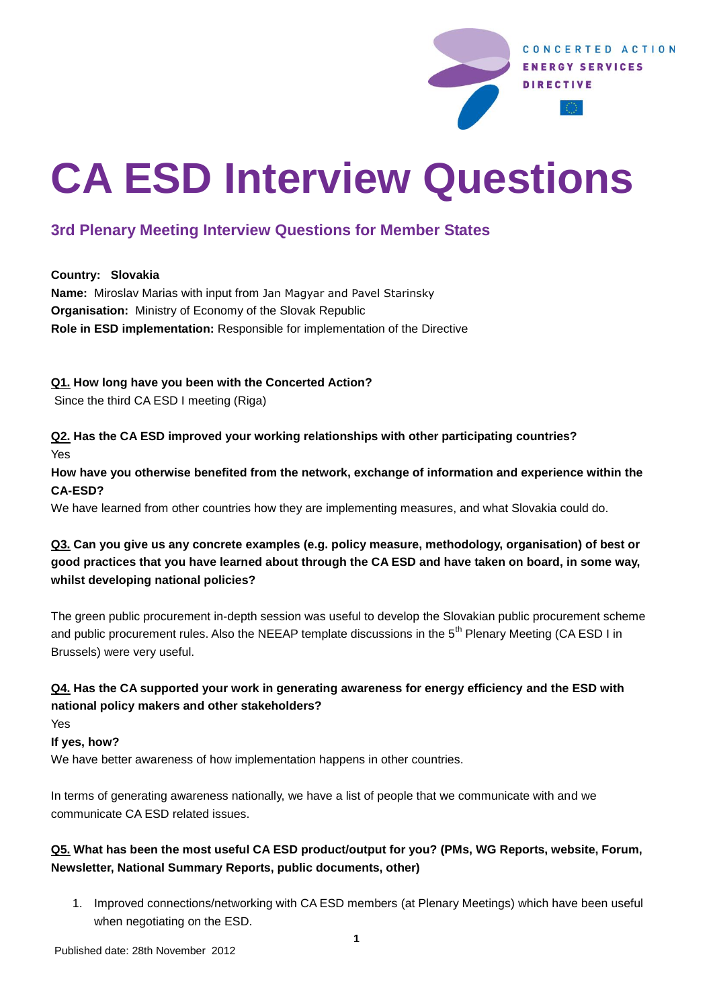

# **CA ESD Interview Questions**

# **3rd Plenary Meeting Interview Questions for Member States**

**Country: Slovakia**

**Name:** Miroslav Marias with input from Jan Magyar and Pavel Starinsky **Organisation:** Ministry of Economy of the Slovak Republic **Role in ESD implementation:** Responsible for implementation of the Directive

#### **Q1. How long have you been with the Concerted Action?**

Since the third CA ESD I meeting (Riga)

**Q2. Has the CA ESD improved your working relationships with other participating countries?**  Yes

**How have you otherwise benefited from the network, exchange of information and experience within the CA-ESD?** 

We have learned from other countries how they are implementing measures, and what Slovakia could do.

# **Q3. Can you give us any concrete examples (e.g. policy measure, methodology, organisation) of best or good practices that you have learned about through the CA ESD and have taken on board, in some way, whilst developing national policies?**

The green public procurement in-depth session was useful to develop the Slovakian public procurement scheme and public procurement rules. Also the NEEAP template discussions in the 5<sup>th</sup> Plenary Meeting (CA ESD I in Brussels) were very useful.

# **Q4. Has the CA supported your work in generating awareness for energy efficiency and the ESD with national policy makers and other stakeholders?**

Yes

**If yes, how?**

We have better awareness of how implementation happens in other countries.

In terms of generating awareness nationally, we have a list of people that we communicate with and we communicate CA ESD related issues.

# **Q5. What has been the most useful CA ESD product/output for you? (PMs, WG Reports, website, Forum, Newsletter, National Summary Reports, public documents, other)**

1. Improved connections/networking with CA ESD members (at Plenary Meetings) which have been useful when negotiating on the ESD.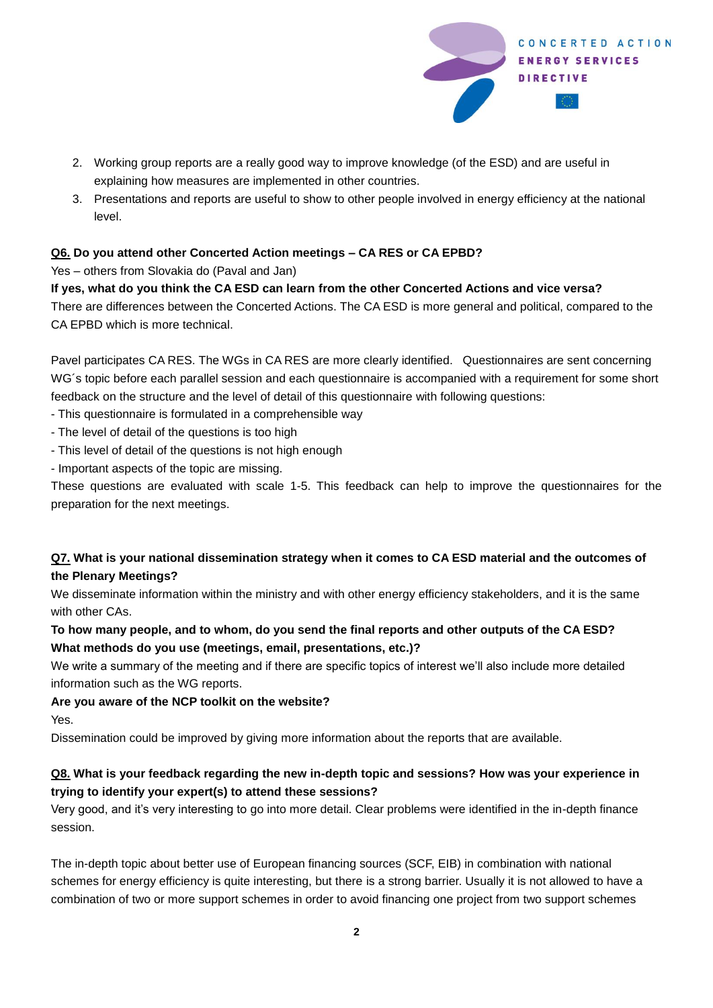

- 2. Working group reports are a really good way to improve knowledge (of the ESD) and are useful in explaining how measures are implemented in other countries.
- 3. Presentations and reports are useful to show to other people involved in energy efficiency at the national level.

#### **Q6. Do you attend other Concerted Action meetings – CA RES or CA EPBD?**

Yes – others from Slovakia do (Paval and Jan)

#### **If yes, what do you think the CA ESD can learn from the other Concerted Actions and vice versa?**

There are differences between the Concerted Actions. The CA ESD is more general and political, compared to the CA EPBD which is more technical.

Pavel participates CA RES. The WGs in CA RES are more clearly identified. Questionnaires are sent concerning WG´s topic before each parallel session and each questionnaire is accompanied with a requirement for some short feedback on the structure and the level of detail of this questionnaire with following questions:

- This questionnaire is formulated in a comprehensible way

- The level of detail of the questions is too high
- This level of detail of the questions is not high enough
- Important aspects of the topic are missing.

These questions are evaluated with scale 1-5. This feedback can help to improve the questionnaires for the preparation for the next meetings.

# **Q7. What is your national dissemination strategy when it comes to CA ESD material and the outcomes of the Plenary Meetings?**

We disseminate information within the ministry and with other energy efficiency stakeholders, and it is the same with other CAs.

# **To how many people, and to whom, do you send the final reports and other outputs of the CA ESD? What methods do you use (meetings, email, presentations, etc.)?**

We write a summary of the meeting and if there are specific topics of interest we'll also include more detailed information such as the WG reports.

**Are you aware of the NCP toolkit on the website?**

Yes.

Dissemination could be improved by giving more information about the reports that are available.

# **Q8. What is your feedback regarding the new in-depth topic and sessions? How was your experience in trying to identify your expert(s) to attend these sessions?**

Very good, and it's very interesting to go into more detail. Clear problems were identified in the in-depth finance session.

The in-depth topic about better use of European financing sources (SCF, EIB) in combination with national schemes for energy efficiency is quite interesting, but there is a strong barrier. Usually it is not allowed to have a combination of two or more support schemes in order to avoid financing one project from two support schemes